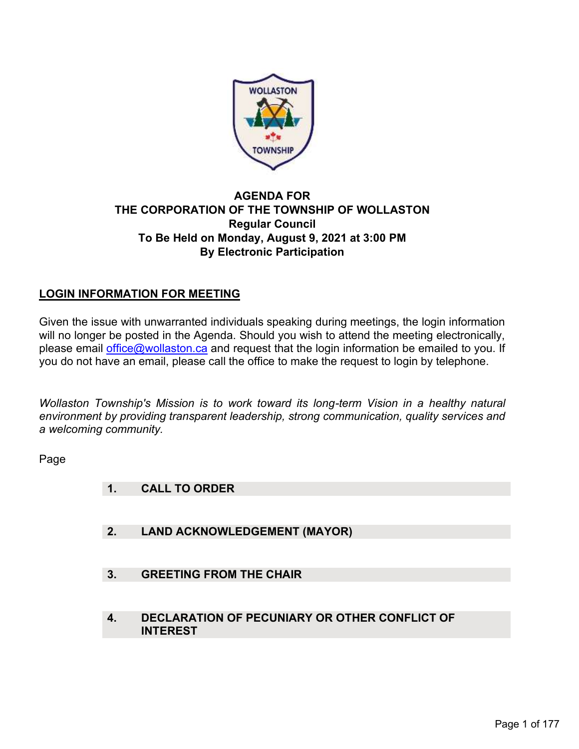

# AGENDA FOR THE CORPORATION OF THE TOWNSHIP OF WOLLASTON Regular Council To Be Held on Monday, August 9, 2021 at 3:00 PM By Electronic Participation

# LOGIN INFORMATION FOR MEETING

Given the issue with unwarranted individuals speaking during meetings, the login information will no longer be posted in the Agenda. Should you wish to attend the meeting electronically, please email office@wollaston.ca and request that the login information be emailed to you. If you do not have an email, please call the office to make the request to login by telephone.

Wollaston Township's Mission is to work toward its long-term Vision in a healthy natural environment by providing transparent leadership, strong communication, quality services and a welcoming community.

Page

- 1. CALL TO ORDER
- 2. LAND ACKNOWLEDGEMENT (MAYOR)
- 3. GREETING FROM THE CHAIR
- 4. DECLARATION OF PECUNIARY OR OTHER CONFLICT OF INTEREST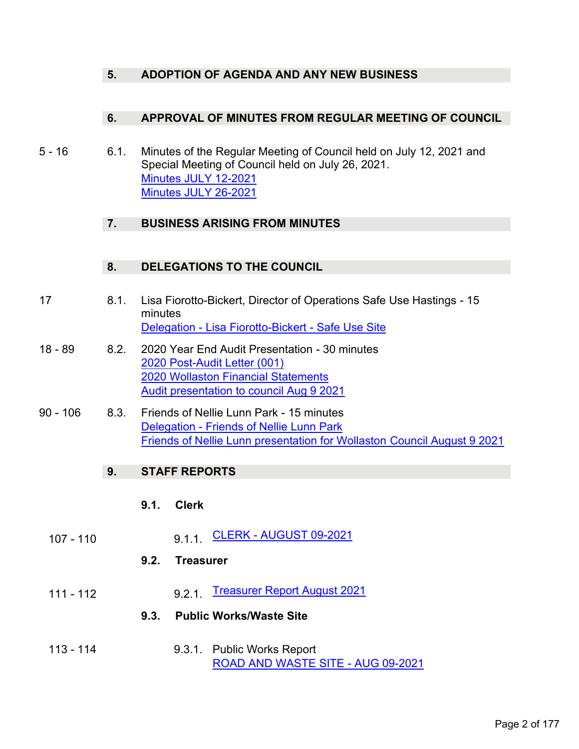## 5. ADOPTION OF AGENDA AND ANY NEW BUSINESS

#### 6. APPROVAL OF MINUTES FROM REGULAR MEETING OF COUNCIL

 5 - 16 6.1. Minutes of the Regular Meeting of Council held on July 12, 2021 and Special Meeting of Council held on July 26, 2021. Minutes JULY 12-2021 Minutes JULY 26-2021 **6. APPROVAL OF MINUTES FROM REGULAR MEETING OF CC**<br>
5 - 16 6.1. Minutes of the Regular Meeting of Council held on July 12, 2021<br>
Special Meeting of Council held on July 26, 2021.<br>
<u>Minutes JULY 12-2021</u><br> **7. BUSINESS** 

## 7. BUSINESS ARISING FROM MINUTES

## 8. DELEGATIONS TO THE COUNCIL

- 17 8.1. Lisa Fiorotto-Bickert, Director of Operations Safe Use Hastings 15 minutes Delegation - Lisa Fiorotto-Bickert - Safe Use Site
- 2020 Post-Audit Letter (001) 2020 Wollaston Financial Statements Audit presentation to council Aug 9 2021 9 - 106 Minutes JULY 12-2021<br>
Minutes JULY 26-2021<br>
Minutes JULY 26-2021<br>
7. BUSINESS ARISING FROM MINUTES<br>
8. DELEGATIONS TO THE COUNCIL<br>
17 8.1. Lisa Fiorotto-Bickert, Director of Operations Safe Use Has<br>
minutes<br>
Delega
- Delegation Friends of Nellie Lunn Park Friends of Nellie Lunn presentation for Wollaston Council August 9 2021

# 9. STAFF REPORTS

#### 9.1. Clerk

107 - 110 9.1.1. CLERK - AUGUST 09-2021

#### 9.2. Treasurer

111 - 112 9.2.1. Treasurer Report August 2021

# 9.3. Public Works/Waste Site

 113 - 114 9.3.1. Public Works Report ROAD AND WASTE SITE - AUG 09-2021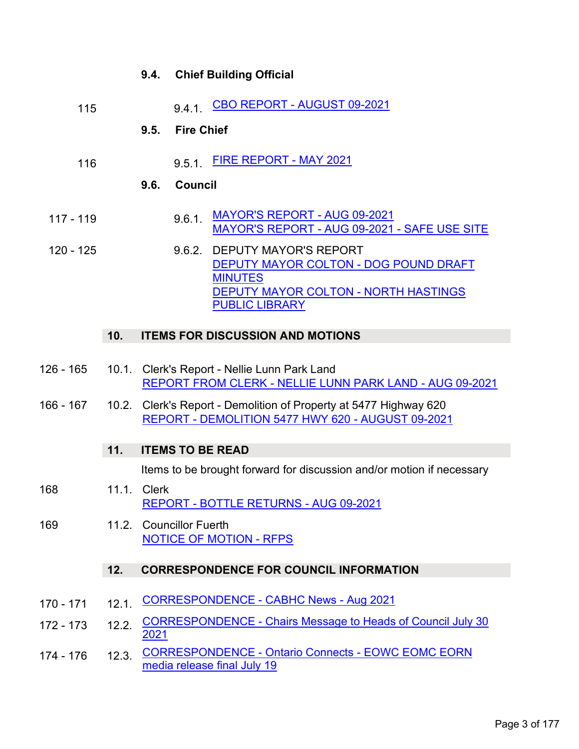|             |     | 9.4.                                                                                                                   |                                                                                                         | <b>Chief Building Official</b>                                                                                                  |  |
|-------------|-----|------------------------------------------------------------------------------------------------------------------------|---------------------------------------------------------------------------------------------------------|---------------------------------------------------------------------------------------------------------------------------------|--|
| 115         |     |                                                                                                                        | 9.4.1.                                                                                                  | CBO REPORT - AUGUST 09-2021                                                                                                     |  |
|             |     | 9.5.                                                                                                                   | <b>Fire Chief</b>                                                                                       |                                                                                                                                 |  |
| 116         |     |                                                                                                                        | 9.5.1.                                                                                                  | <b>FIRE REPORT - MAY 2021</b>                                                                                                   |  |
|             |     | 9.6.                                                                                                                   | <b>Council</b>                                                                                          |                                                                                                                                 |  |
| $117 - 119$ |     |                                                                                                                        | 9.6.1.                                                                                                  | MAYOR'S REPORT - AUG 09-2021<br>MAYOR'S REPORT - AUG 09-2021 - SAFE USE SITE                                                    |  |
| 120 - 125   |     |                                                                                                                        | 9.6.2.                                                                                                  | <b>DEPUTY MAYOR'S REPORT</b><br>DEPUTY MAYOR COLTON - DOG POUND DRAFT<br><b>MINUTES</b><br>DEPUTY MAYOR COLTON - NORTH HASTINGS |  |
|             |     |                                                                                                                        |                                                                                                         | <b>PUBLIC LIBRARY</b>                                                                                                           |  |
|             | 10. |                                                                                                                        |                                                                                                         | <b>ITEMS FOR DISCUSSION AND MOTIONS</b>                                                                                         |  |
| $126 - 165$ |     |                                                                                                                        | 10.1. Clerk's Report - Nellie Lunn Park Land<br>REPORT FROM CLERK - NELLIE LUNN PARK LAND - AUG 09-2021 |                                                                                                                                 |  |
| $166 - 167$ |     | 10.2. Clerk's Report - Demolition of Property at 5477 Highway 620<br>REPORT - DEMOLITION 5477 HWY 620 - AUGUST 09-2021 |                                                                                                         |                                                                                                                                 |  |
|             | 11. |                                                                                                                        | <b>ITEMS TO BE READ</b>                                                                                 |                                                                                                                                 |  |
|             |     |                                                                                                                        |                                                                                                         | Items to be brought forward for discussion and/or motion if necessary                                                           |  |
|             |     |                                                                                                                        |                                                                                                         |                                                                                                                                 |  |

- 168 11.1. Clerk REPORT - BOTTLE RETURNS - AUG 09-2021
- 169 11.2. Councillor Fuerth NOTICE OF MOTION - RFPS

# 12. CORRESPONDENCE FOR COUNCIL INFORMATION

- 170 171 12.1. CORRESPONDENCE CABHC News Aug 2021
- 172 173 12.2. CORRESPONDENCE Chairs Message to Heads of Council July 30 2021
- 174 176 12.3. CORRESPONDENCE Ontario Connects EOWC EOMC EORN media release final July 19